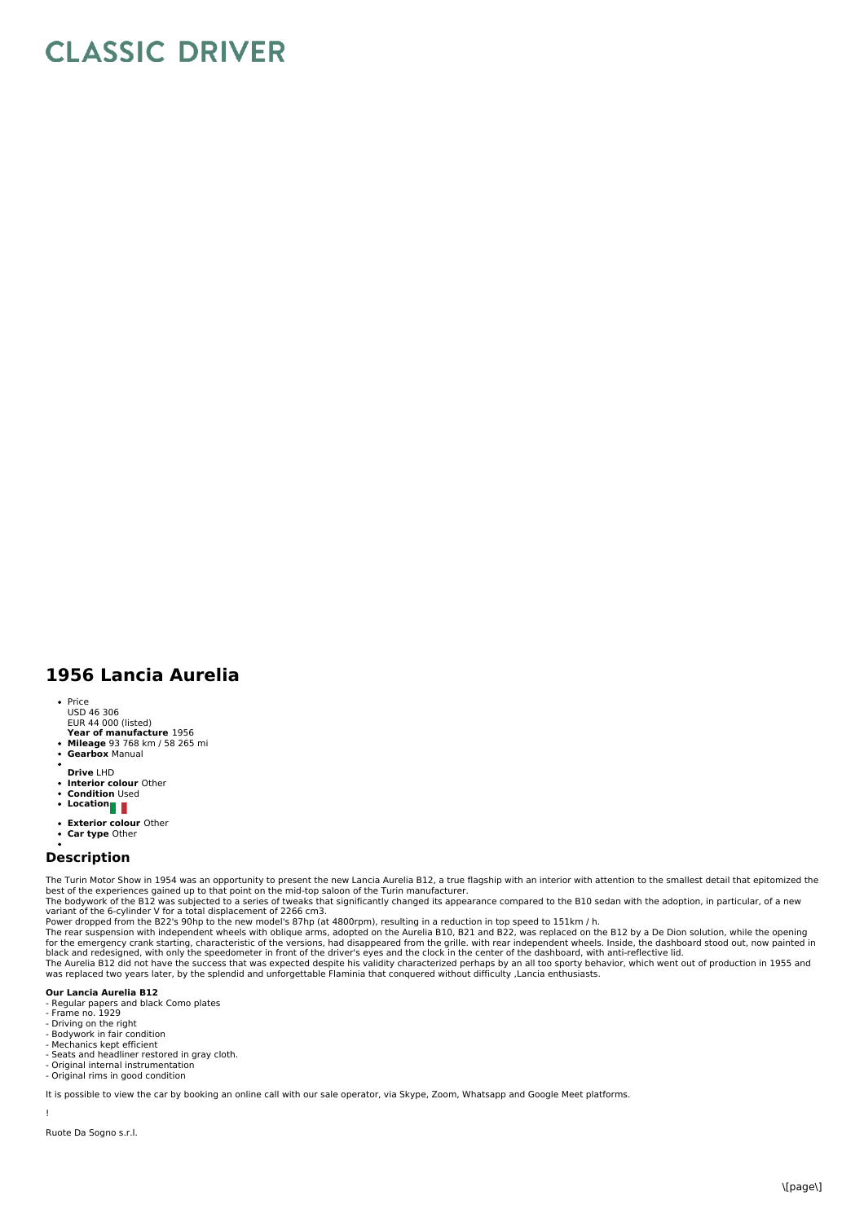## **CLASSIC DRIVER**

## **1956 Lancia Aurelia**

- Price
- USD 46 306 EUR 44 000 (listed)
- **Year of manufacture** 1956
- $\bullet$ **Mileage** 93 768 km / 58 265 mi **Gearbox** Manual
- 
- **Drive** LHD
- $\bullet$
- **Interior colour** Other **Condition** Used
- Location
- **Exterior colour** Other
- **Car type** Other

## **Description**

The Turin Motor Show in 1954 was an opportunity to present the new Lancia Aurelia B12, a true flagship with an interior with attention to the smallest detail that epitomized the best of the experiences gained up to that point on the mid-top saloon of the Turin manufacturer.<br>The bodywork of the B12 was subjected to a series of tweaks that significantly changed its appearance compared to the B10 sed

variant of the 6-cylinder V for a total displacement of 2266 cm3.<br>Power dropped from the B22's 90hp to the new model's 87hp (at 4800rpm), resulting in a reduction in top speed to 151km / h.

The rear suspension with independent wheels with oblique arms, adopted on the Aurelia B10, B21 and B22, was replaced on the B12 by a De Dion solution, while the opening<br>for the emergency crank starting, characteristic of t

## **Our Lancia Aurelia B12**

- Regular papers and black Como plates Frame no. 1929
- 
- 
- Driving on the right Bodywork in fair condition Mechanics kept efficient
- Mechanics Rept emerent
- 
- Original internal instrumentation Original rims in good condition

It is possible to view the car by booking an online call with our sale operator, via Skype, Zoom, Whatsapp and Google Meet platforms.

Ruote Da Sogno s.r.l.